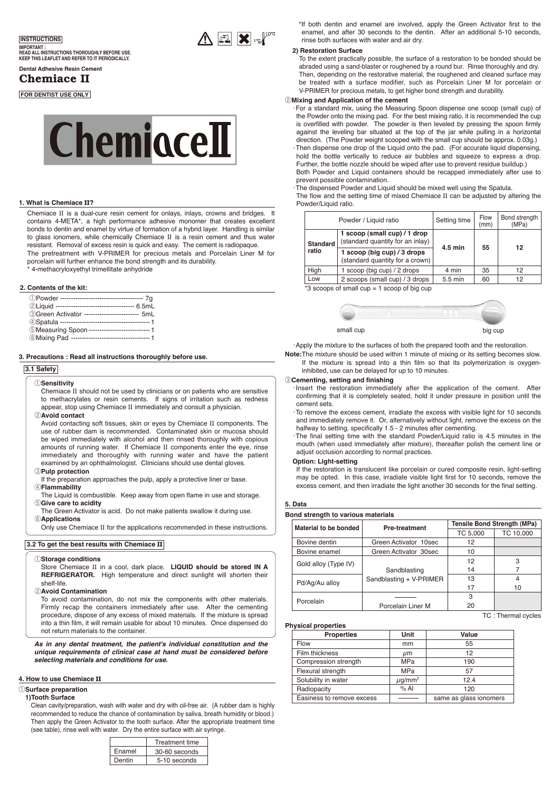

**IMPORTANT : READ ALL INSTRUCTIONS THOROUGHLY BEFORE USE. KEEP THIS LEAFLET AND REFER TO IT PERIODICALLY.** 

# **Dental Adhesive Resin Cement**

Chemiace II

## **FOR DENTIST USE ONLY**



## **1. What is Chemiace** II**?**

Chemiace II is a dual-cure resin cement for onlays, inlays, crowns and bridges. It contains 4-META\*, a high performance adhesive monomer that creates excellent bonds to dentin and enamel by virtue of formation of a hybrid layer. Handling is similar to glass ionomers, while chemically Chemiace II is a resin cement and thus water resistant. Removal of excess resin is quick and easy. The cement is radiopaque. The pretreatment with V-PRIMER for precious metals and Porcelain Liner M for porcelain will further enhance the bond strength and its durability.

4-methacryloxyethyl trimellitate anhydride

## **2. Contents of the kit:**

| 3Green Activator ------------------------ 5mL   |
|-------------------------------------------------|
|                                                 |
| 5Measuring Spoon ---------------------------- 1 |
|                                                 |

**3. Precautions : Read all instructions thoroughly before use.** 

#### **3.1 Safety**

#### q**Sensitivity**

Chemiace II should not be used by clinicians or on patients who are sensitive to methacrylates or resin cements. If signs of irritation such as redness appear, stop using Chemiace II immediately and consult a physician.

## w**Avoid contact**

Avoid contacting soft tissues, skin or eyes by Chemiace II components. The use of rubber dam is recommended. Contaminated skin or mucosa should be wiped immediately with alcohol and then rinsed thoroughly with copious amounts of running water. If Chemiace II components enter the eye, rinse immediately and thoroughly with running water and have the patient examined by an ophthalmologist. Clinicians should use dental gloves

#### e**Pulp protection**

- If the preparation approaches the pulp, apply a protective liner or base. r**Flammability**
- The Liquid is combustible. Keep away from open flame in use and storage. **Give care to acidity**
- The Green Activator is acid. Do not make patients swallow it during use. y**Applications**
- Only use Chemiace II for the applications recommended in these instructions.

#### **3.2 To get the best results with Chemiace** II

#### q**Storage conditions**

Store Chemiace II in a cool, dark place. **LIQUID should be stored IN A REFRIGERATOR.** High temperature and direct sunlight will shorten their shelf-life.

## **2** Avoid Contamination

To avoid contamination, do not mix the components with other materials. Firmly recap the containers immediately after use. After the cementing procedure, dispose of any excess of mixed materials. If the mixture is spread into a thin film, it will remain usable for about 10 minutes. Once dispensed do not return materials to the container.

*As in any dental treatment, the patient's individual constitution and the unique requirements of clinical case at hand must be considered before selecting materials and conditions for use.* 

## **4. How to use Chemiace** II

## q**Surface preparation**

#### **1)Tooth Surface**

Clean cavity/preparation, wash with water and dry with oil-free air. (A rubber dam is highly recommended to reduce the chance of contamination by saliva, breath humidity or blood.) Then apply the Green Activator to the tooth surface. After the appropriate treatment time (see table), rinse well with water. Dry the entire surface with air syringe.

|        | <b>Treatment time</b> |  |  |
|--------|-----------------------|--|--|
| Enamel | 30-60 seconds         |  |  |
| Dentin | 5-10 seconds          |  |  |

\*If both dentin and enamel are involved, apply the Green Activator first to the enamel, and after 30 seconds to the dentin. After an additional 5-10 seconds, rinse both surfaces with water and air dry.

#### **2) Restoration Surface**

 $\Lambda$   $\mathbb{R}$   $\mathbb{R}$   $\mathbb{R}$ 

To the extent practically possible, the surface of a restoration to be bonded should be abraded using a sand-blaster or roughened by a round bur. Rinse thoroughly and dry. Then, depending on the restorative material, the roughened and cleaned surface may be treated with a surface modifier, such as Porcelain Liner M for porcelain or V-PRIMER for precious metals, to get higher bond strength and durability.

## **@Mixing and Application of the cement**

•For a standard mix, using the Measuring Spoon dispense one scoop (small cup) of the Powder onto the mixing pad. For the best mixing ratio, it is recommended the cup is overfilled with powder. The powder is then leveled by pressing the spoon firmly against the leveling bar situated at the top of the jar while pulling in a horizontal direction. (The Powder weight scooped with the small cup should be approx. 0.03g.) •Then dispense one drop of the Liquid onto the pad. (For accurate liquid dispensing, hold the bottle vertically to reduce air bubbles and squeeze to express a drop. Further, the bottle nozzle should be wiped after use to prevent residue buildup.) Both Powder and Liquid containers should be recapped immediately after use to prevent possible contamination.

•The dispensed Powder and Liquid should be mixed well using the Spatula.

The flow and the setting time of mixed Chemiace II can be adjusted by altering the Powder/Liquid ratio.

|                 | Powder / Liquid ratio                                            | Setting time      | Flow<br>(mm) | Bond strength<br>(MPa) |
|-----------------|------------------------------------------------------------------|-------------------|--------------|------------------------|
| <b>Standard</b> | 1 scoop (small cup) / 1 drop<br>(standard quantity for an inlay) |                   | 55           | 12                     |
| ratio           | 1 scoop (big cup) / 3 drops<br>(standard quantity for a crown)   | $4.5$ min         |              |                        |
| Hiah            | 1 scoop (big cup) / 2 drops                                      | 4 min             | 35           | 12                     |
| Low             | 2 scoops (small cup) / 3 drops                                   | $5.5 \text{ min}$ | 60           | 12                     |

 $*3$  scoops of small cup = 1 scoop of big cup



•Apply the mixture to the surfaces of both the prepared tooth and the restoration.

**Note:**The mixture should be used within 1 minute of mixing or its setting becomes slow. If the mixture is spread into a thin film so that its polymerization is oxygeninhibited, use can be delayed for up to 10 minutes.

#### e**Cementing, setting and finishing**

- Insert the restoration immediately after the application of the cement. After confirming that it is completely seated, hold it under pressure in position until the cement sets.
- •To remove the excess cement, irradiate the excess with visible light for 10 seconds and immediately remove it. Or, alternatively without light, remove the excess on the halfway to setting, specifically 1.5 - 2 minutes after cementing.
- •The final setting time with the standard Powder/Liquid ratio is 4.5 minutes in the mouth (when used immediately after mixture), thereafter polish the cement line or adjust occlusion according to normal practices.

#### **Option: Light-setting**

If the restoration is translucent like porcelain or cured composite resin, light-setting may be opted. In this case, irradiate visible light first for 10 seconds, remove the excess cement, and then irradiate the light another 30 seconds for the final setting.

## **5. Data**

#### **Bond strength to various materials**

| Material to be bonded | <b>Pre-treatment</b>    | <b>Tensile Bond Strength (MPa)</b> |           |
|-----------------------|-------------------------|------------------------------------|-----------|
|                       |                         | TC 5,000                           | TC 10,000 |
| Bovine dentin         | Green Activator 10sec   | 12                                 |           |
| Bovine enamel         | Green Activator 30sec   | 10                                 |           |
| Gold alloy (Type IV)  |                         | 12                                 | 3         |
|                       | Sandblasting            | 14                                 |           |
| Pd/Aq/Au alloy        | Sandblasting + V-PRIMER | 13                                 | 4         |
|                       |                         | 17                                 | 10        |
| Porcelain             |                         | 3                                  |           |
|                       | Porcelain Liner M       | 20                                 |           |

## **Physical properties**

| <b>Properties</b>         | Unit                    | Value                  |
|---------------------------|-------------------------|------------------------|
| Flow                      | mm                      | 55                     |
| Film thickness            | $\mu$ m                 | 12                     |
| Compression strength      | <b>MPa</b>              | 190                    |
| Flexural strength         | <b>MPa</b>              | 57                     |
| Solubility in water       | $\mu$ q/mm <sup>3</sup> | 12.4                   |
| Radiopacity               | % A                     | 120                    |
| Easiness to remove excess |                         | same as glass ionomers |

TC : Thermal cycles